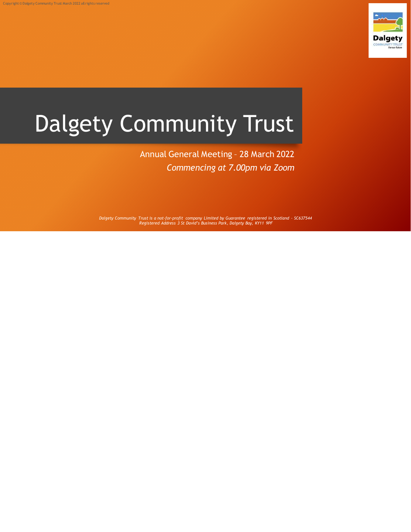

# Dalgety Community Trust

Annual General Meeting – 28 March 2022 *Commencing at 7.00pm via Zoom*

*Dalgety Community Trust is a not-for-profit company Limited by Guarantee registered in Scotland – SC637544 Registered Address 3 St David's Business Park, Dalgety Bay, KY11 9PF*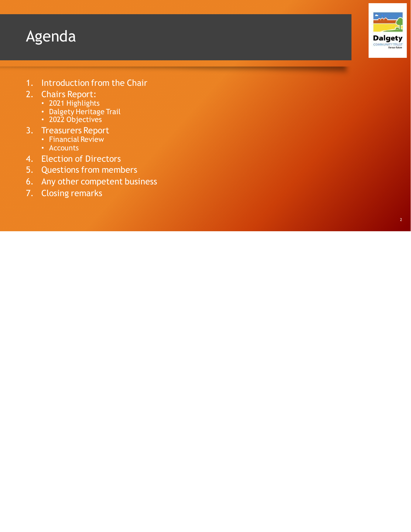#### Agenda



- 1. Introduction from the Chair
- 2. Chairs Report:
	- 2021 Highlights
	- Dalgety Heritage Trail
	- 2022 Objectives
- 3. Treasurers Report
	- Financial Review
	- Accounts
- 4. Election of Directors
- 5. Questions from members
- 6. Any other competent business
- 7. Closing remarks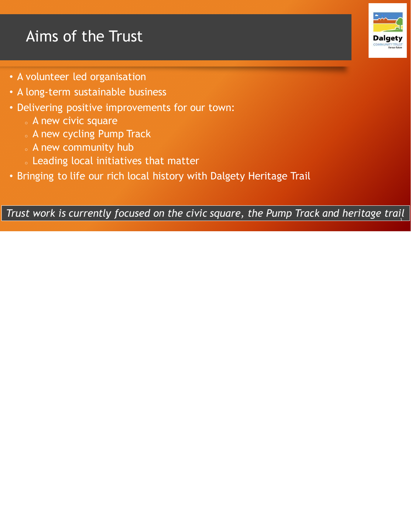### Aims of the Trust

- A volunteer led organisation
- A long-term sustainable business
- Delivering positive improvements for our town:
	- <sup>o</sup> A new civic square
	- <sup>o</sup> A new cycling Pump Track
	- <sup>o</sup> A new community hub
	- <sup>o</sup> Leading local initiatives that matter
- Bringing to life our rich local history with Dalgety Heritage Trail

*Trust work is currently focused on the civic square, the Pump Track and heritage trail*  3

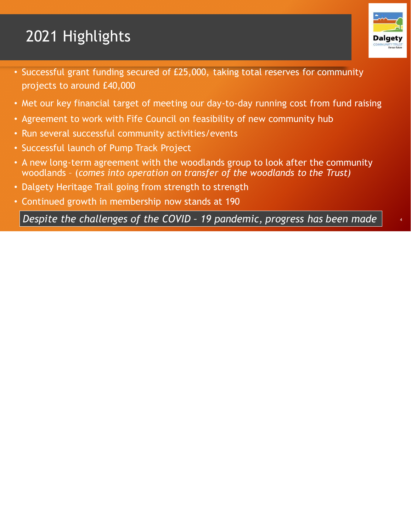## 2021 Highlights



- Met our key financial target of meeting our day-to-day running cost from fund raising
- Agreement to work with Fife Council on feasibility of new community hub
- Run several successful community activities/events
- Successful launch of Pump Track Project
- A new long-term agreement with the woodlands group to look after the community woodlands – (*comes into operation on transfer of the woodlands to the Trust)*
- Dalgety Heritage Trail going from strength to strength
- Continued growth in membership now stands at 190

*Despite the challenges of the COVID – 19 pandemic, progress has been made* <sup>4</sup>

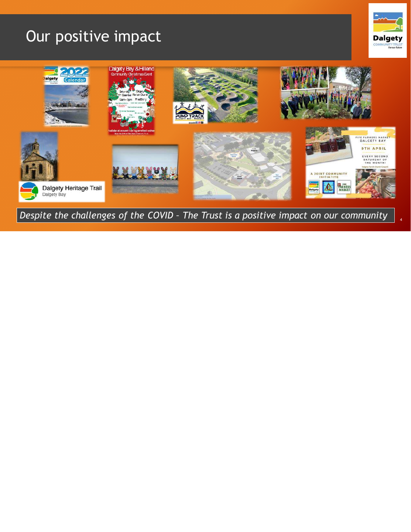#### Our positive impact





*Despite the challenges of the COVID – The Trust is a positive impact on our community* <sup>4</sup>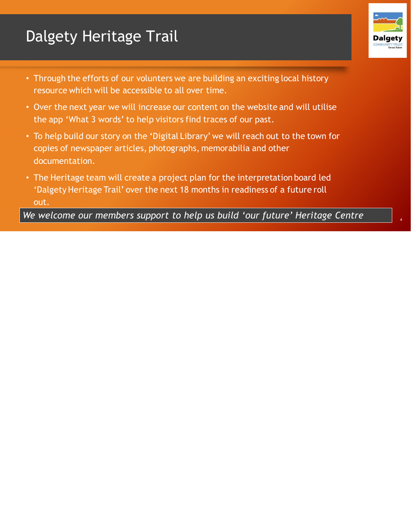### Dalgety Heritage Trail

- Dalg
- Through the efforts of our volunters we are building an exciting local history resource which will be accessible to all over time.
- Over the next year we will increase our content on the website and will utilise the app 'What 3 words' to help visitors find traces of our past.
- To help build our story on the 'Digital Library' we will reach out to the town for copies of newspaper articles, photographs, memorabilia and other documentation.
- The Heritage team will create a project plan for the interpretation board led 'Dalgety Heritage Trail' over the next 18 months in readiness of a future roll out.

We welcome our members support to help us build 'our future' Heritage Centre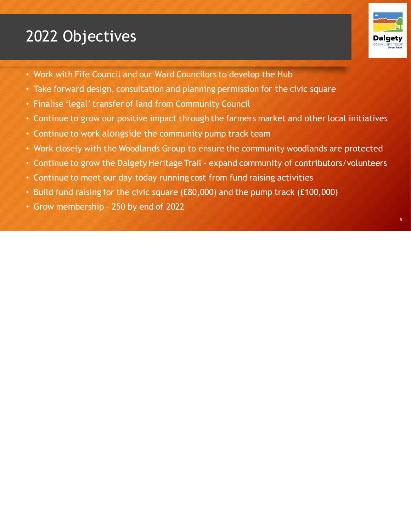### 2022 Objectives



- Work with Fife Council and our Ward Councilors to develop the Hub
- Take forward design, consultation and planning permission for the civic square
- Finalise 'legal' transfer of land from Community Council
- Continue to grow our positive impact through the farmers market and other local initiatives
- Continue to work alongside the community pump track team
- Work closely with the Woodlands Group to ensure the community woodlands are protected
- Continue to grow the Dalgety Heritage Trail expand community of contributors/volunteers
- Continue to meet our day-today running cost from fund raising activities
- Build fund raising for the civic square (£80,000) and the pump track (£100,000)
- Grow membership 250 by end of 2022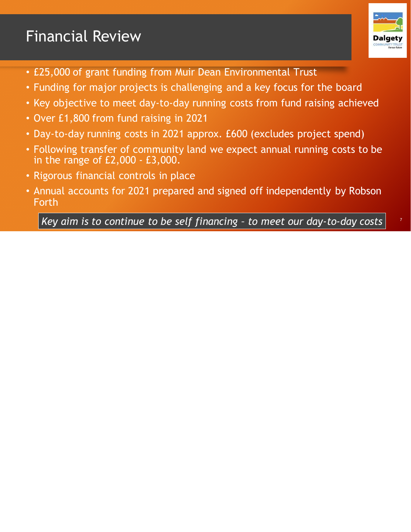### Financial Review



- £25,000 of grant funding from Muir Dean Environmental Trust
- Funding for major projects is challenging and a key focus for the board
- Key objective to meet day-to-day running costs from fund raising achieved
- Over £1,800 from fund raising in 2021
- Day-to-day running costs in 2021 approx. £600 (excludes project spend)
- Following transfer of community land we expect annual running costs to be in the range of £2,000 - £3,000.
- Rigorous financial controls in place
- Annual accounts for 2021 prepared and signed off independently by Robson Forth

<sup>7</sup> *Key aim is to continue to be self financing – to meet our day-to-day costs*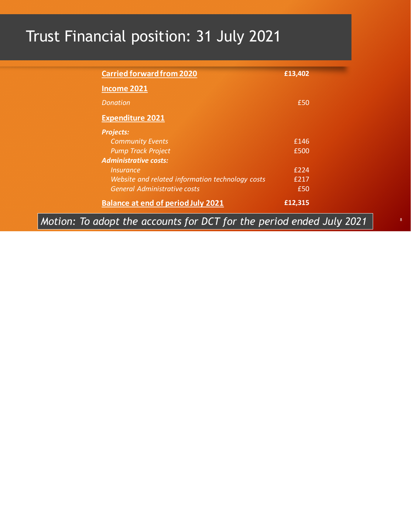# Trust Financial position: 31 July 2021

| <b>Carried forward from 2020</b> |                                                                      | £13,402 |
|----------------------------------|----------------------------------------------------------------------|---------|
| <b>Income 2021</b>               |                                                                      |         |
| <b>Donation</b>                  |                                                                      | £50     |
| <b>Expenditure 2021</b>          |                                                                      |         |
| <b>Projects:</b>                 |                                                                      |         |
| <b>Community Events</b>          |                                                                      | £146    |
| <b>Pump Track Project</b>        |                                                                      | £500    |
| <b>Administrative costs:</b>     |                                                                      |         |
| <i><u><b>Insurance</b></u></i>   |                                                                      | £224    |
|                                  | Website and related information technology costs                     | £217    |
|                                  | <b>General Administrative costs</b>                                  | £50     |
|                                  | <b>Balance at end of period July 2021</b>                            | £12,315 |
|                                  | Motion: To adopt the accounts for DCT for the period ended July 2021 |         |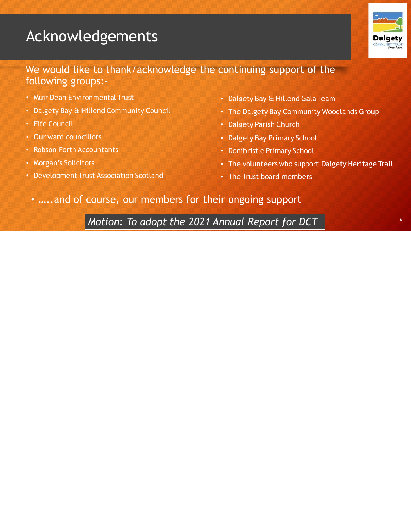### Acknowledgements



#### We would like to thank/acknowledge the continuing support of the following groups:-

- Muir Dean Environmental Trust
- Dalgety Bay & Hillend Community Council
- Fife Council
- Our ward councillors
- Robson Forth Accountants
- Morgan's Solicitors
- Development Trust Association Scotland
- Dalgety Bay & Hillend Gala Team
- The Dalgety Bay Community Woodlands Group
- Dalgety Parish Church
- Dalgety Bay Primary School
- Donibristle Primary School
- The volunteers who support Dalgety Heritage Trail
- The Trust board members
- …..and of course, our members for their ongoing support

<sup>6</sup> *Motion: To adopt the 2021 Annual Report for DCT*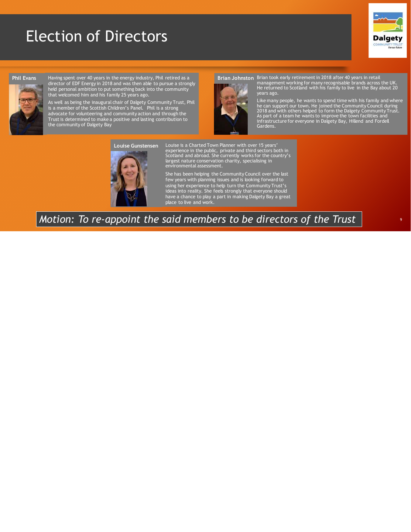#### Election of Directors



#### **Phil Evans**



Having spent over 40 years in the energy industry, Phil retired as a director of EDF Energy in 2018 and was then able to pursue a strongly held personal ambition to put something back into the community that welcomed him and his family 25 years ago.

As well as being the inaugural chair of Dalgety Community Trust, Phil is a member of the Scottish Children's Panel. Phil is a strong advocate for volunteering and community action and through the Trust is determined to make a positive and lasting contribution to the community of Dalgety Bay

#### Brian Johnston Brian took early retirement in 2018 after 40 years in retail



management working for many recognisable brands across the UK. He returned to Scotland with his family to live in the Bay about 20 years ago.

Like many people, he wants to spend time with his family and where<br>he can support our town. He joined the Community Council during<br>2018 and with others helped to form the Dalgety Community Trust.<br>As part of a team he wants



Louise is a Charted Town Planner with over 15 years'<br>experience in the public, private and third sectors both in<br>Scotland and abroad. She currently works for the country's<br>largest nature conservation charity, specialising environmental assessment.

She has been helping the Community Council over the last few years with planning issues and is looking forward to using her experience to help turn the Community Trust's ideas into reality. She feels strongly that everyone should have a chance to play a part in making Dalgety Bay a great place to live and work.

#### *Motion: To re-appoint the said members to be directors of the Trust*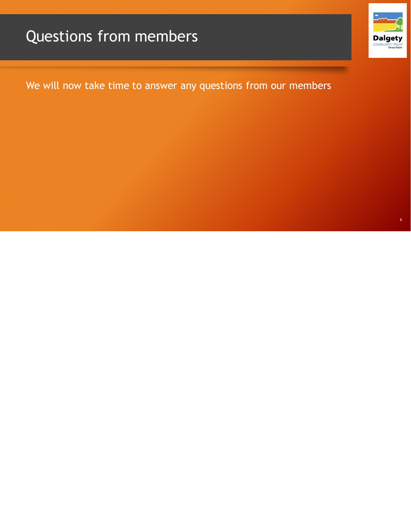### Questions from members



We will now take time to answer any questions from our members

6